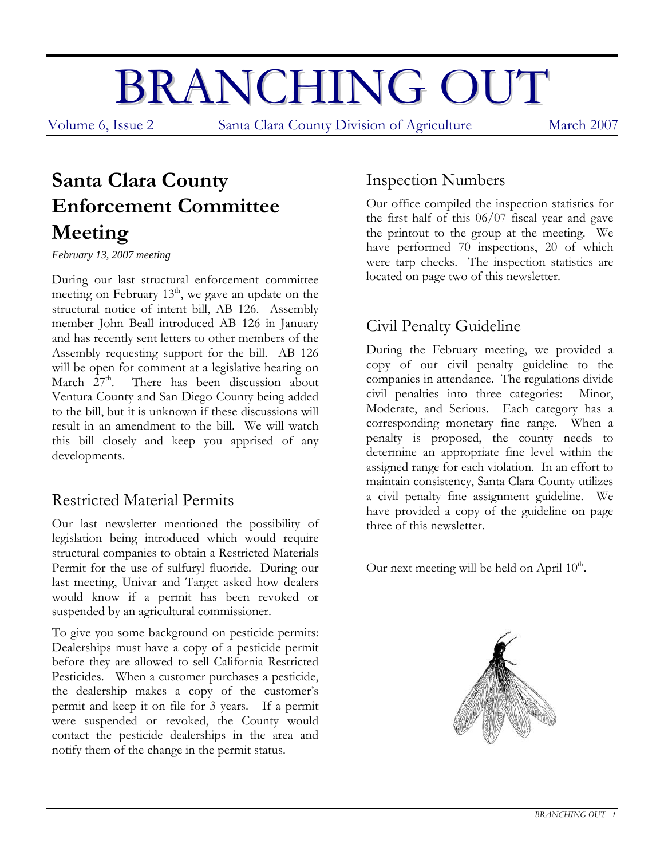# BRANCHING OUT

Volume 6, Issue 2 Santa Clara County Division of Agriculture March 2007

## **Santa Clara County Enforcement Committee Meeting**

*February 13, 2007 meeting* 

During our last structural enforcement committee meeting on February 13<sup>th</sup>, we gave an update on the structural notice of intent bill, AB 126. Assembly member John Beall introduced AB 126 in January and has recently sent letters to other members of the Assembly requesting support for the bill. AB 126 will be open for comment at a legislative hearing on March  $27<sup>th</sup>$ . There has been discussion about Ventura County and San Diego County being added to the bill, but it is unknown if these discussions will result in an amendment to the bill. We will watch this bill closely and keep you apprised of any developments.

#### Restricted Material Permits

Our last newsletter mentioned the possibility of legislation being introduced which would require structural companies to obtain a Restricted Materials Permit for the use of sulfuryl fluoride. During our last meeting, Univar and Target asked how dealers would know if a permit has been revoked or suspended by an agricultural commissioner.

To give you some background on pesticide permits: Dealerships must have a copy of a pesticide permit before they are allowed to sell California Restricted Pesticides. When a customer purchases a pesticide, the dealership makes a copy of the customer's permit and keep it on file for 3 years. If a permit were suspended or revoked, the County would contact the pesticide dealerships in the area and notify them of the change in the permit status.

#### Inspection Numbers

Our office compiled the inspection statistics for the first half of this 06/07 fiscal year and gave the printout to the group at the meeting. We have performed 70 inspections, 20 of which were tarp checks. The inspection statistics are located on page two of this newsletter.

#### Civil Penalty Guideline

During the February meeting, we provided a copy of our civil penalty guideline to the companies in attendance. The regulations divide civil penalties into three categories: Minor, Moderate, and Serious. Each category has a corresponding monetary fine range. When a penalty is proposed, the county needs to determine an appropriate fine level within the assigned range for each violation. In an effort to maintain consistency, Santa Clara County utilizes a civil penalty fine assignment guideline. We have provided a copy of the guideline on page three of this newsletter.

Our next meeting will be held on April  $10<sup>th</sup>$ .

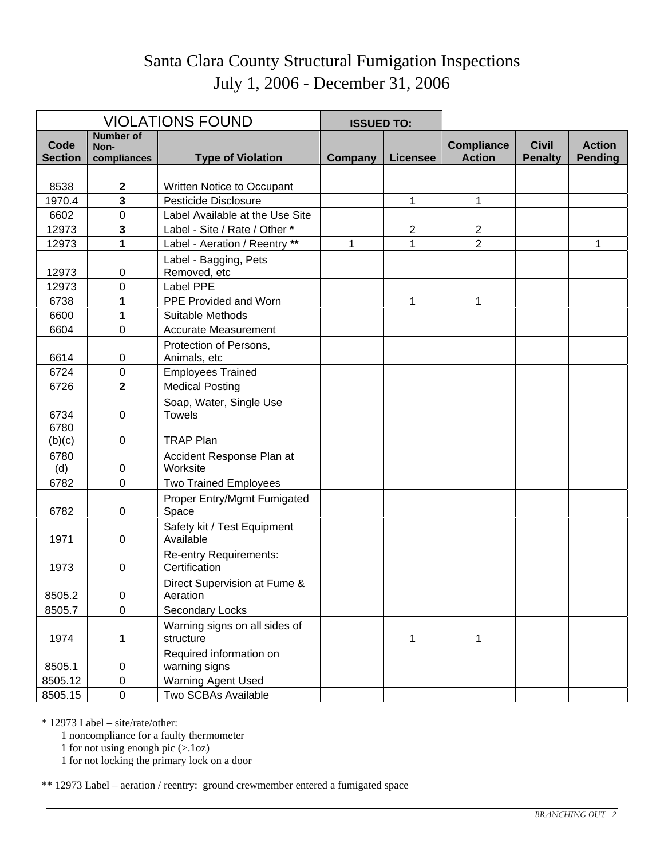### Santa Clara County Structural Fumigation Inspections July 1, 2006 - December 31, 2006

|                |                          | <b>VIOLATIONS FOUND</b>                        | <b>ISSUED TO:</b> |                 |                   |                |                |
|----------------|--------------------------|------------------------------------------------|-------------------|-----------------|-------------------|----------------|----------------|
| Code           | <b>Number of</b><br>Non- |                                                |                   |                 | <b>Compliance</b> | <b>Civil</b>   | <b>Action</b>  |
| <b>Section</b> | compliances              | <b>Type of Violation</b>                       | Company           | <b>Licensee</b> | <b>Action</b>     | <b>Penalty</b> | <b>Pending</b> |
|                |                          |                                                |                   |                 |                   |                |                |
| 8538           | 2                        | Written Notice to Occupant                     |                   |                 |                   |                |                |
| 1970.4         | 3                        | Pesticide Disclosure                           |                   | 1               | 1                 |                |                |
| 6602           | 0                        | Label Available at the Use Site                |                   |                 |                   |                |                |
| 12973          | 3                        | Label - Site / Rate / Other *                  |                   | $\overline{2}$  | $\overline{2}$    |                |                |
| 12973          | 1                        | Label - Aeration / Reentry **                  | 1                 | 1               | $\overline{2}$    |                | 1              |
| 12973          | 0                        | Label - Bagging, Pets<br>Removed, etc          |                   |                 |                   |                |                |
| 12973          | 0                        | Label PPE                                      |                   |                 |                   |                |                |
| 6738           | 1                        | PPE Provided and Worn                          |                   | 1               | 1                 |                |                |
| 6600           | 1                        | Suitable Methods                               |                   |                 |                   |                |                |
| 6604           | $\mathbf 0$              | <b>Accurate Measurement</b>                    |                   |                 |                   |                |                |
| 6614           | 0                        | Protection of Persons,<br>Animals, etc         |                   |                 |                   |                |                |
| 6724           | $\mathbf 0$              | <b>Employees Trained</b>                       |                   |                 |                   |                |                |
| 6726           | $\overline{\mathbf{2}}$  | <b>Medical Posting</b>                         |                   |                 |                   |                |                |
| 6734           | $\mathbf 0$              | Soap, Water, Single Use<br><b>Towels</b>       |                   |                 |                   |                |                |
| 6780<br>(b)(c) | 0                        | <b>TRAP Plan</b>                               |                   |                 |                   |                |                |
| 6780<br>(d)    | 0                        | Accident Response Plan at<br>Worksite          |                   |                 |                   |                |                |
| 6782           | $\overline{0}$           | <b>Two Trained Employees</b>                   |                   |                 |                   |                |                |
| 6782           | 0                        | Proper Entry/Mgmt Fumigated<br>Space           |                   |                 |                   |                |                |
| 1971           | 0                        | Safety kit / Test Equipment<br>Available       |                   |                 |                   |                |                |
| 1973           | 0                        | <b>Re-entry Requirements:</b><br>Certification |                   |                 |                   |                |                |
| 8505.2         | 0                        | Direct Supervision at Fume &<br>Aeration       |                   |                 |                   |                |                |
| 8505.7         | $\mathbf 0$              | Secondary Locks                                |                   |                 |                   |                |                |
| 1974           | 1                        | Warning signs on all sides of<br>structure     |                   | 1               | 1                 |                |                |
| 8505.1         | 0                        | Required information on<br>warning signs       |                   |                 |                   |                |                |
| 8505.12        | $\pmb{0}$                | <b>Warning Agent Used</b>                      |                   |                 |                   |                |                |
| 8505.15        | $\boldsymbol{0}$         | Two SCBAs Available                            |                   |                 |                   |                |                |

\* 12973 Label – site/rate/other:

1 noncompliance for a faulty thermometer

1 for not using enough pic (>.1oz)

1 for not locking the primary lock on a door

\*\* 12973 Label – aeration / reentry: ground crewmember entered a fumigated space